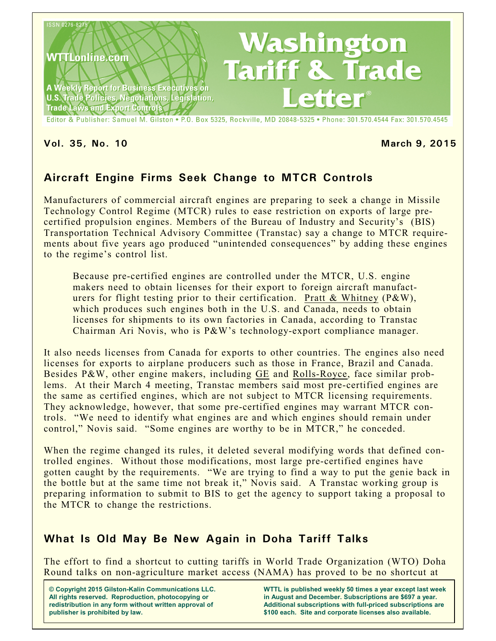

Editor & Publisher: Samuel M. Gilston . P.O. Box 5325, Rockville, MD 20848-5325 . Phone: 301.570.4544 Fax: 301.570.4545

**Vol. 35, No. 10 March 9, 2015**

# **Aircraft Engine Firms Seek Change to MTCR Controls**

Manufacturers of commercial aircraft engines are preparing to seek a change in Missile Technology Control Regime (MTCR) rules to ease restriction on exports of large precertified propulsion engines. Members of the Bureau of Industry and Security's (BIS) Transportation Technical Advisory Committee (Transtac) say a change to MTCR requirements about five years ago produced "unintended consequences" by adding these engines to the regime's control list.

Because pre-certified engines are controlled under the MTCR, U.S. engine makers need to obtain licenses for their export to foreign aircraft manufacturers for flight testing prior to their certification. Pratt & Whitney (P&W), which produces such engines both in the U.S. and Canada, needs to obtain licenses for shipments to its own factories in Canada, according to Transtac Chairman Ari Novis, who is P&W's technology-export compliance manager.

It also needs licenses from Canada for exports to other countries. The engines also need licenses for exports to airplane producers such as those in France, Brazil and Canada. Besides P&W, other engine makers, including GE and Rolls-Royce, face similar problems. At their March 4 meeting, Transtac members said most pre-certified engines are the same as certified engines, which are not subject to MTCR licensing requirements. They acknowledge, however, that some pre-certified engines may warrant MTCR controls. "We need to identify what engines are and which engines should remain under control," Novis said. "Some engines are worthy to be in MTCR," he conceded.

When the regime changed its rules, it deleted several modifying words that defined controlled engines. Without those modifications, most large pre-certified engines have gotten caught by the requirements. "We are trying to find a way to put the genie back in the bottle but at the same time not break it," Novis said. A Transtac working group is preparing information to submit to BIS to get the agency to support taking a proposal to the MTCR to change the restrictions.

## **What Is Old May Be New Again in Doha Tariff Talks**

The effort to find a shortcut to cutting tariffs in World Trade Organization (WTO) Doha Round talks on non-agriculture market access (NAMA) has proved to be no shortcut at

**© Copyright 2015 Gilston-Kalin Communications LLC. All rights reserved. Reproduction, photocopying or redistribution in any form without written approval of publisher is prohibited by law.** 

**WTTL is published weekly 50 times a year except last week in August and December. Subscriptions are \$697 a year. Additional subscriptions with full-priced subscriptions are \$100 each. Site and corporate licenses also available.**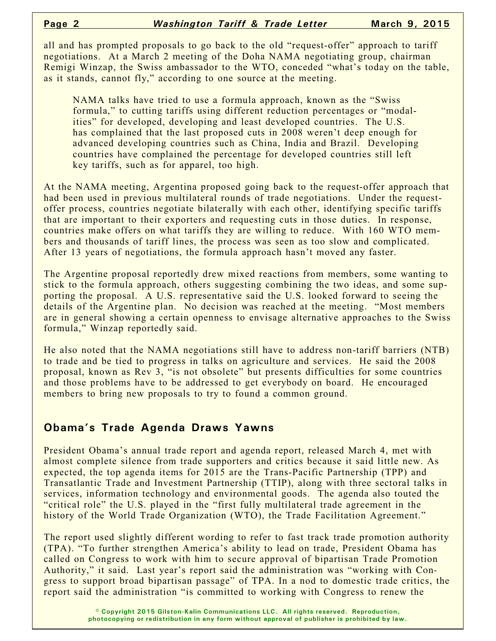all and has prompted proposals to go back to the old "request-offer" approach to tariff negotiations. At a March 2 meeting of the Doha NAMA negotiating group, chairman Remigi Winzap, the Swiss ambassador to the WTO, conceded "what's today on the table, as it stands, cannot fly," according to one source at the meeting.

NAMA talks have tried to use a formula approach, known as the "Swiss formula," to cutting tariffs using different reduction percentages or "modalities" for developed, developing and least developed countries. The U.S. has complained that the last proposed cuts in 2008 weren't deep enough for advanced developing countries such as China, India and Brazil. Developing countries have complained the percentage for developed countries still left key tariffs, such as for apparel, too high.

At the NAMA meeting, Argentina proposed going back to the request-offer approach that had been used in previous multilateral rounds of trade negotiations. Under the requestoffer process, countries negotiate bilaterally with each other, identifying specific tariffs that are important to their exporters and requesting cuts in those duties. In response, countries make offers on what tariffs they are willing to reduce. With 160 WTO members and thousands of tariff lines, the process was seen as too slow and complicated. After 13 years of negotiations, the formula approach hasn't moved any faster.

The Argentine proposal reportedly drew mixed reactions from members, some wanting to stick to the formula approach, others suggesting combining the two ideas, and some supporting the proposal. A U.S. representative said the U.S. looked forward to seeing the details of the Argentine plan. No decision was reached at the meeting. "Most members are in general showing a certain openness to envisage alternative approaches to the Swiss formula," Winzap reportedly said.

He also noted that the NAMA negotiations still have to address non-tariff barriers (NTB) to trade and be tied to progress in talks on agriculture and services. He said the 2008 proposal, known as Rev 3, "is not obsolete" but presents difficulties for some countries and those problems have to be addressed to get everybody on board. He encouraged members to bring new proposals to try to found a common ground.

#### **Obama's Trade Agenda Draws Yawns**

President Obama's annual trade report and agenda report, released March 4, met with almost complete silence from trade supporters and critics because it said little new. As expected, the top agenda items for 2015 are the Trans-Pacific Partnership (TPP) and Transatlantic Trade and Investment Partnership (TTIP), along with three sectoral talks in services, information technology and environmental goods. The agenda also touted the "critical role" the U.S. played in the "first fully multilateral trade agreement in the history of the World Trade Organization (WTO), the Trade Facilitation Agreement."

The report used slightly different wording to refer to fast track trade promotion authority (TPA). "To further strengthen America's ability to lead on trade, President Obama has called on Congress to work with him to secure approval of bipartisan Trade Promotion Authority," it said. Last year's report said the administration was "working with Congress to support broad bipartisan passage" of TPA. In a nod to domestic trade critics, the report said the administration "is committed to working with Congress to renew the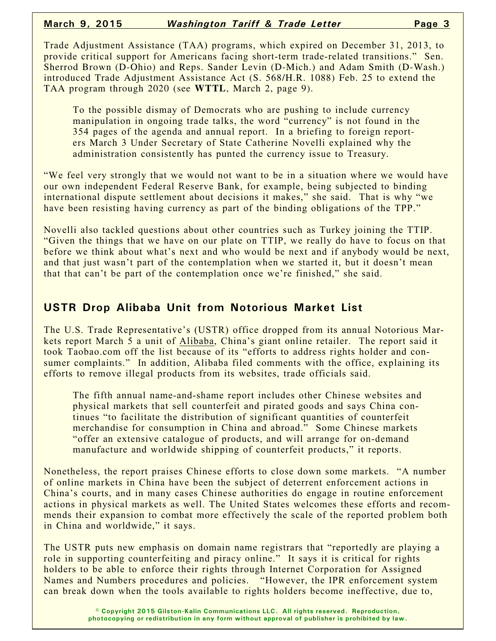Trade Adjustment Assistance (TAA) programs, which expired on December 31, 2013, to provide critical support for Americans facing short-term trade-related transitions." Sen. Sherrod Brown (D-Ohio) and Reps. Sander Levin (D-Mich.) and Adam Smith (D-Wash.) introduced Trade Adjustment Assistance Act (S. 568/H.R. 1088) Feb. 25 to extend the TAA program through 2020 (see **WTTL**, March 2, page 9).

To the possible dismay of Democrats who are pushing to include currency manipulation in ongoing trade talks, the word "currency" is not found in the 354 pages of the agenda and annual report. In a briefing to foreign reporters March 3 Under Secretary of State Catherine Novelli explained why the administration consistently has punted the currency issue to Treasury.

"We feel very strongly that we would not want to be in a situation where we would have our own independent Federal Reserve Bank, for example, being subjected to binding international dispute settlement about decisions it makes," she said. That is why "we have been resisting having currency as part of the binding obligations of the TPP."

Novelli also tackled questions about other countries such as Turkey joining the TTIP. "Given the things that we have on our plate on TTIP, we really do have to focus on that before we think about what's next and who would be next and if anybody would be next, and that just wasn't part of the contemplation when we started it, but it doesn't mean that that can't be part of the contemplation once we're finished," she said.

## **USTR Drop Alibaba Unit from Notorious Market List**

The U.S. Trade Representative's (USTR) office dropped from its annual Notorious Markets report March 5 a unit of Alibaba, China's giant online retailer. The report said it took Taobao.com off the list because of its "efforts to address rights holder and consumer complaints." In addition, Alibaba filed comments with the office, explaining its efforts to remove illegal products from its websites, trade officials said.

The fifth annual name-and-shame report includes other Chinese websites and physical markets that sell counterfeit and pirated goods and says China continues "to facilitate the distribution of significant quantities of counterfeit merchandise for consumption in China and abroad." Some Chinese markets "offer an extensive catalogue of products, and will arrange for on-demand manufacture and worldwide shipping of counterfeit products," it reports.

Nonetheless, the report praises Chinese efforts to close down some markets. "A number of online markets in China have been the subject of deterrent enforcement actions in China's courts, and in many cases Chinese authorities do engage in routine enforcement actions in physical markets as well. The United States welcomes these efforts and recommends their expansion to combat more effectively the scale of the reported problem both in China and worldwide," it says.

The USTR puts new emphasis on domain name registrars that "reportedly are playing a role in supporting counterfeiting and piracy online." It says it is critical for rights holders to be able to enforce their rights through Internet Corporation for Assigned Names and Numbers procedures and policies. "However, the IPR enforcement system can break down when the tools available to rights holders become ineffective, due to,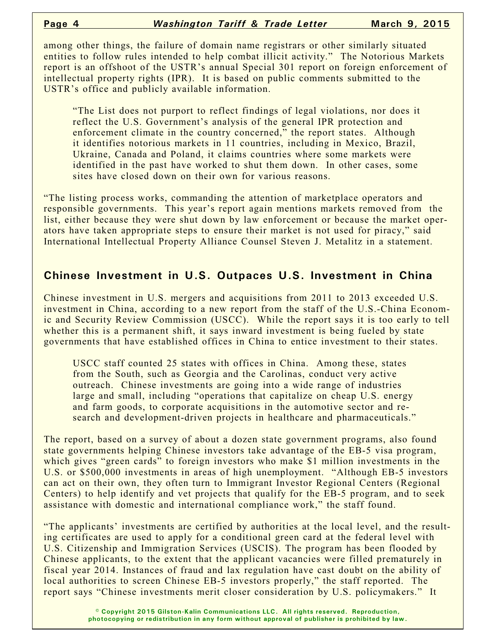among other things, the failure of domain name registrars or other similarly situated entities to follow rules intended to help combat illicit activity." The Notorious Markets report is an offshoot of the USTR's annual Special 301 report on foreign enforcement of intellectual property rights (IPR). It is based on public comments submitted to the USTR's office and publicly available information.

"The List does not purport to reflect findings of legal violations, nor does it reflect the U.S. Government's analysis of the general IPR protection and enforcement climate in the country concerned," the report states. Although it identifies notorious markets in 11 countries, including in Mexico, Brazil, Ukraine, Canada and Poland, it claims countries where some markets were identified in the past have worked to shut them down. In other cases, some sites have closed down on their own for various reasons.

"The listing process works, commanding the attention of marketplace operators and responsible governments. This year's report again mentions markets removed from the list, either because they were shut down by law enforcement or because the market operators have taken appropriate steps to ensure their market is not used for piracy," said International Intellectual Property Alliance Counsel Steven J. Metalitz in a statement.

### **Chinese Investment in U.S. Outpaces U.S. Investment in China**

Chinese investment in U.S. mergers and acquisitions from 2011 to 2013 exceeded U.S. investment in China, according to a new report from the staff of the U.S.-China Economic and Security Review Commission (USCC). While the report says it is too early to tell whether this is a permanent shift, it says inward investment is being fueled by state governments that have established offices in China to entice investment to their states.

USCC staff counted 25 states with offices in China. Among these, states from the South, such as Georgia and the Carolinas, conduct very active outreach. Chinese investments are going into a wide range of industries large and small, including "operations that capitalize on cheap U.S. energy and farm goods, to corporate acquisitions in the automotive sector and research and development-driven projects in healthcare and pharmaceuticals."

The report, based on a survey of about a dozen state government programs, also found state governments helping Chinese investors take advantage of the EB-5 visa program, which gives "green cards" to foreign investors who make \$1 million investments in the U.S. or \$500,000 investments in areas of high unemployment. "Although EB-5 investors can act on their own, they often turn to Immigrant Investor Regional Centers (Regional Centers) to help identify and vet projects that qualify for the EB-5 program, and to seek assistance with domestic and international compliance work," the staff found.

"The applicants' investments are certified by authorities at the local level, and the resulting certificates are used to apply for a conditional green card at the federal level with U.S. Citizenship and Immigration Services (USCIS). The program has been flooded by Chinese applicants, to the extent that the applicant vacancies were filled prematurely in fiscal year 2014. Instances of fraud and lax regulation have cast doubt on the ability of local authorities to screen Chinese EB-5 investors properly," the staff reported. The report says "Chinese investments merit closer consideration by U.S. policymakers." It

> **© Copyright 2015 Gilston-Kalin Communications LLC. All rights reserved. Reproduction, photocopying or redistribution in any form without approval of publisher is prohibited by law.**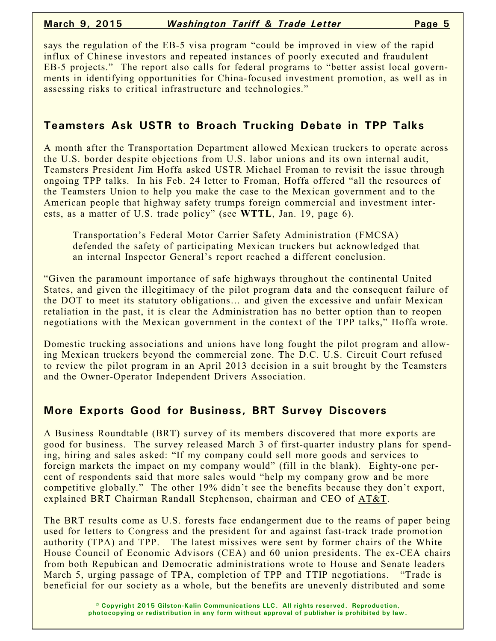says the regulation of the EB-5 visa program "could be improved in view of the rapid influx of Chinese investors and repeated instances of poorly executed and fraudulent EB-5 projects." The report also calls for federal programs to "better assist local governments in identifying opportunities for China-focused investment promotion, as well as in assessing risks to critical infrastructure and technologies."

## **Teamsters Ask USTR to Broach Trucking Debate in TPP Talks**

A month after the Transportation Department allowed Mexican truckers to operate across the U.S. border despite objections from U.S. labor unions and its own internal audit, Teamsters President Jim Hoffa asked USTR Michael Froman to revisit the issue through ongoing TPP talks. In his Feb. 24 letter to Froman, Hoffa offered "all the resources of the Teamsters Union to help you make the case to the Mexican government and to the American people that highway safety trumps foreign commercial and investment interests, as a matter of U.S. trade policy" (see **WTTL**, Jan. 19, page 6).

Transportation's Federal Motor Carrier Safety Administration (FMCSA) defended the safety of participating Mexican truckers but acknowledged that an internal Inspector General's report reached a different conclusion.

"Given the paramount importance of safe highways throughout the continental United States, and given the illegitimacy of the pilot program data and the consequent failure of the DOT to meet its statutory obligations… and given the excessive and unfair Mexican retaliation in the past, it is clear the Administration has no better option than to reopen negotiations with the Mexican government in the context of the TPP talks," Hoffa wrote.

Domestic trucking associations and unions have long fought the pilot program and allowing Mexican truckers beyond the commercial zone. The D.C. U.S. Circuit Court refused to review the pilot program in an April 2013 decision in a suit brought by the Teamsters and the Owner-Operator Independent Drivers Association.

# **More Exports Good for Business, BRT Survey Discovers**

A Business Roundtable (BRT) survey of its members discovered that more exports are good for business. The survey released March 3 of first-quarter industry plans for spending, hiring and sales asked: "If my company could sell more goods and services to foreign markets the impact on my company would" (fill in the blank). Eighty-one percent of respondents said that more sales would "help my company grow and be more competitive globally." The other 19% didn't see the benefits because they don't export, explained BRT Chairman Randall Stephenson, chairman and CEO of AT&T.

The BRT results come as U.S. forests face endangerment due to the reams of paper being used for letters to Congress and the president for and against fast-track trade promotion authority (TPA) and TPP. The latest missives were sent by former chairs of the White House Council of Economic Advisors (CEA) and 60 union presidents. The ex-CEA chairs from both Repubican and Democratic administrations wrote to House and Senate leaders March 5, urging passage of TPA, completion of TPP and TTIP negotiations. "Trade is beneficial for our society as a whole, but the benefits are unevenly distributed and some

> **© Copyright 2015 Gilston-Kalin Communications LLC. All rights reserved. Reproduction, photocopying or redistribution in any form without approval of publisher is prohibited by law.**